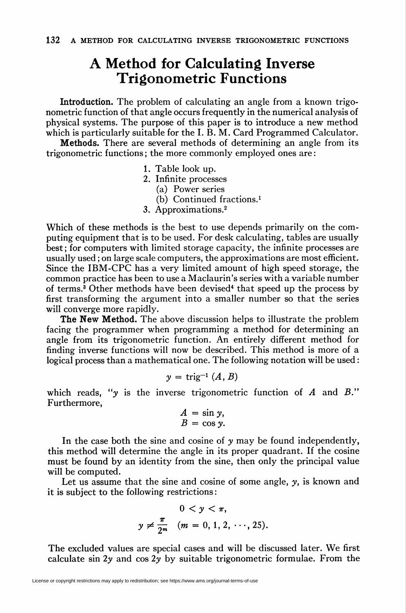## A Method for Calculating Inverse Trigonometric Functions

Introduction. The problem of calculating an angle from a known trigonometric function of that angle occurs frequently in the numerical analysis of physical systems. The purpose of this paper is to introduce a new method which is particularly suitable for the I. B. M. Card Programmed Calculator.

Methods. There are several methods of determining an angle from its trigonometric functions ; the more commonly employed ones are :

- 1. Table look up.
- 2. Infinite processes
	- (a) Power series
	- (b) Continued fractions.1
- 3. Approximations.2

Which of these methods is the best to use depends primarily on the computing equipment that is to be used. For desk calculating, tables are usually best ; for computers with limited storage capacity, the infinite processes are usually used ; on large scale computers, the approximations are most efficient. Since the IBM-CPC has a very limited amount of high speed storage, the common practice has been to use a Maclaurin's series with a variable number of terms.3 Other methods have been devised4 that speed up the process by first transforming the argument into a smaller number so that the series will converge more rapidly.

The New Method. The above discussion helps to illustrate the problem facing the programmer when programming a method for determining an angle from its trigonometric function. An entirely different method for finding inverse functions will now be described. This method is more of a logical process than a mathematical one. The following notation will be used :

$$
y = \text{trig}^{-1}(A, B)
$$

which reads, "y is the inverse trigonometric function of  $A$  and  $B$ ." Furthermore,

$$
A = \sin y,
$$
  

$$
B = \cos y.
$$

In the case both the sine and cosine of  $y$  may be found independently, this method will determine the angle in its proper quadrant. If the cosine must be found by an identity from the sine, then only the principal value will be computed.

Let us assume that the sine and cosine of some angle,  $\gamma$ , is known and it is subject to the following restrictions :

$$
0 < y < \pi,
$$
  

$$
y \neq \frac{\pi}{2^m} \quad (m = 0, 1, 2, \cdots, 25).
$$

The excluded values are special cases and will be discussed later. We first calculate sin 2y and cos 2y by suitable trigonometric formulae. From the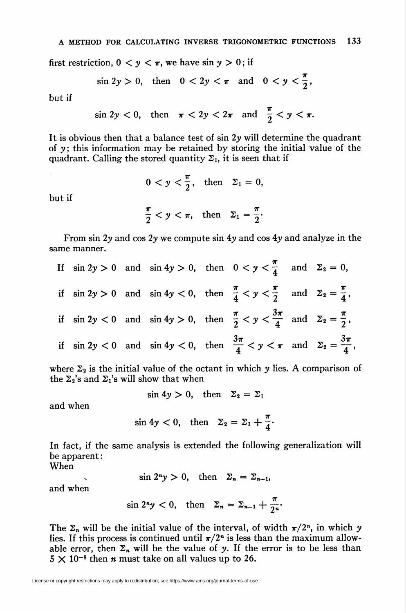first restriction,  $0 \lt y \lt \pi$ , we have sin  $y > 0$ ; if

$$
\sin 2y > 0
$$
, then  $0 < 2y < \pi$  and  $0 < y < \frac{\pi}{2}$ ,

but if

but if

same manner.

$$
\sin 2y < 0, \quad \text{then} \quad \pi < 2y < 2\pi \quad \text{and} \quad \frac{\pi}{2} < y < \pi.
$$

It is obvious then that a balance test of  $\sin 2\gamma$  will determine the quadrant of y; this information may be retained by storing the initial value of the quadrant. Calling the stored quantity  $\Sigma_1$ , it is seen that if

$$
0 < y < \frac{\pi}{2}, \quad \text{then} \quad \Sigma_1 = 0,
$$
\n
$$
\frac{\pi}{2} < y < \pi, \quad \text{then} \quad \Sigma_1 = \frac{\pi}{2}.
$$

From sin 2y and cos 2y we compute sin 4y and cos 4y and analyze in the

If  $\sin 2y > 0$  and  $\sin 4y > 0$ , then  $0 < y < \frac{\pi}{4}$  and  $\Sigma_2 = 0$ , if  $\sin 2y > 0$  and  $\sin 4y < 0$ , then  $\frac{\pi}{4} < y < \frac{\pi}{2}$  and  $\Sigma_2 = \frac{\pi}{4}$ , if  $\sin 2y < 0$  and  $\sin 4y > 0$ , then  $\frac{\pi}{2} < y < \frac{3\pi}{4}$  and  $\Sigma_2 = \frac{\pi}{2}$ , if  $\sin 2y < 0$  and  $\sin 4y < 0$ , then  $\frac{3\pi}{4} < y < \pi$  and  $\Sigma_2 = \frac{3\pi}{4}$ ,

where  $\Sigma_2$  is the initial value of the octant in which y lies. A comparison of the  $\Sigma_2$ 's and  $\Sigma_1$ 's will show that when

 $\sin 4y > 0$ , then  $\Sigma_2 = \Sigma_1$ 

and when

$$
\sin 4y < 0, \quad \text{then} \quad \Sigma_2 = \Sigma_1 + \frac{\pi}{4}.
$$

In fact, if the same analysis is extended the following generalization will be apparent:

When

$$
\sin 2^n y > 0, \quad \text{then} \quad \Sigma_n = \Sigma_{n-1},
$$

and when

$$
\sin 2^n y < 0, \quad \text{then} \quad \Sigma_n = \Sigma_{n-1} + \frac{\pi}{2^n}
$$

The  $\Sigma_n$  will be the initial value of the interval, of width  $\pi/2^n$ , in which y lies. If this process is continued until  $\pi/2^n$  is less than the maximum allowable error, then  $\Sigma_n$  will be the value of y. If the error is to be less than  $5 \times 10^{-8}$  then *n* must take on all values up to 26.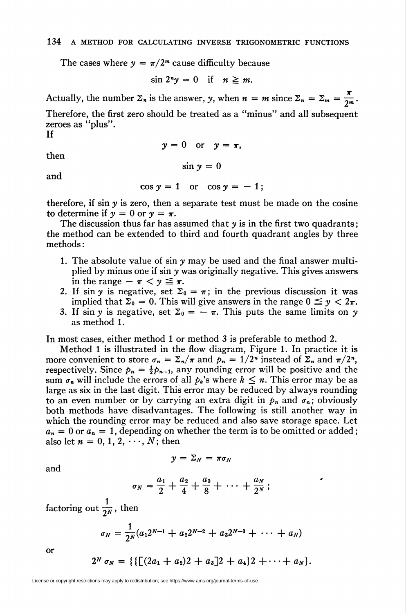The cases where  $y = \pi/2^m$  cause difficulty because

$$
\sin 2^n y = 0 \quad \text{if} \quad n \geq m.
$$

Actually, the number  $\Sigma_n$  is the answer, y, when  $n = m$  since  $\Sigma_n = \Sigma_m = \frac{\pi}{2m}$ .

Therefore, the first zero should be treated as a "minus" and all subsequent zeroes as "plus".

If

$$
y=0 \quad \text{or} \quad y=\pi,
$$

then

$$
\sin y = 0
$$

and

$$
\cos y = 1 \quad \text{or} \quad \cos y = -1;
$$

therefore, if  $\sin \gamma$  is zero, then a separate test must be made on the cosine to determine if  $y = 0$  or  $y = \pi$ .

The discussion thus far has assumed that  $y$  is in the first two quadrants; the method can be extended to third and fourth quadrant angles by three methods :

- 1. The absolute value of  $\sin y$  may be used and the final answer multiplied by minus one if sin y was originally negative. This gives answers in the range  $-\pi < y \leq \pi$ .
- 2. If sin y is negative, set  $\Sigma_0 = \pi$ ; in the previous discussion it was implied that  $\Sigma_0 = 0$ . This will give answers in the range  $0 \le y < 2\pi$ .
- 3. If sin y is negative, set  $\Sigma_0 = -\pi$ . This puts the same limits on y as method 1.

In most cases, either method 1 or method 3 is preferable to method 2.

Method 1 is illustrated in the flow diagram, Figure 1. In practice it is more convenient to store  $\sigma_n = \sum_n / \pi$  and  $p_n = 1/2^n$  instead of  $\sum_n$  and  $\pi/2^n$ , respectively. Since  $p_n = \frac{1}{2}p_{n-1}$ , any rounding error will be positive and the sum  $\sigma_n$  will include the errors of all  $p_k$ 's where  $k \leq n$ . This error may be as large as six in the last digit. This error may be reduced by always rounding to an even number or by carrying an extra digit in  $p_n$  and  $\sigma_n$ ; obviously both methods have disadvantages. The following is still another way in which the rounding error may be reduced and also save storage space. Let  $a_n = 0$  or  $a_n = 1$ , depending on whether the term is to be omitted or added; also let  $n = 0, 1, 2, \dots, N$ ; then

$$
y=\Sigma_N=\pi\sigma_N
$$

and

$$
\sigma_N = \frac{a_1}{2} + \frac{a_2}{4} + \frac{a_3}{8} + \cdots + \frac{a_N}{2^N} ;
$$

factoring out  $\frac{1}{2^N}$ , then

$$
\sigma_N = \frac{1}{2^N}(a_1 2^{N-1} + a_2 2^{N-2} + a_3 2^{N-3} + \cdots + a_N)
$$

or

$$
2^N \sigma_N = \{ \{ \lfloor (2a_1 + a_2) 2 + a_3 \rfloor 2 + a_4 \} 2 + \cdots + a_N \}.
$$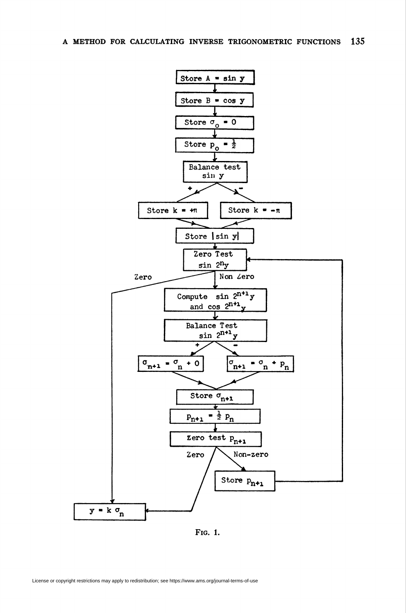

Fig. 1.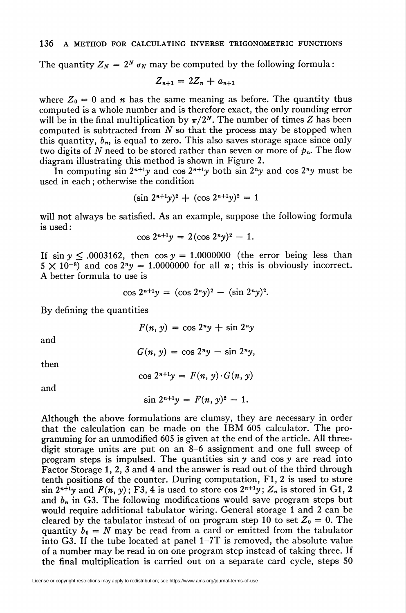The quantity  $Z_N = 2^N \sigma_N$  may be computed by the following formula:

$$
Z_{n+1} = 2Z_n + a_{n+1}
$$

where  $Z_0 = 0$  and *n* has the same meaning as before. The quantity thus computed is a whole number and is therefore exact, the only rounding error will be in the final multiplication by  $\pi/2^N$ . The number of times Z has been computed is subtracted from  $N$  so that the process may be stopped when this quantity,  $b_n$ , is equal to zero. This also saves storage space since only two digits of N need to be stored rather than seven or more of  $p_n$ . The flow diagram illustrating this method is shown in Figure 2.

In computing  $\sin 2^{n+1}y$  and  $\cos 2^{n+1}y$  both  $\sin 2^n y$  and  $\cos 2^n y$  must be used in each ; otherwise the condition

$$
(\sin 2^{n+1}y)^2 + (\cos 2^{n+1}y)^2 = 1
$$

will not always be satisfied. As an example, suppose the following formula is used :

$$
\cos 2^{n+1}y = 2(\cos 2^n y)^2 - 1.
$$

If  $\sin y \leq .0003162$ , then  $\cos y = 1.0000000$  (the error being less than  $5 \times 10^{-8}$  and cos  $2^{n}y = 1.0000000$  for all n; this is obviously incorrect. A better formula to use is

$$
\cos 2^{n+1}y = (\cos 2^n y)^2 - (\sin 2^n y)^2.
$$

By defining the quantities

$$
F(n, y) = \cos 2^n y + \sin 2^n y
$$

and

$$
G(n, y) = \cos 2^n y - \sin 2^n y,
$$

then

$$
\cos 2^{n+1}y = F(n, y) \cdot G(n, y)
$$

and

$$
\sin 2^{n+1}y = F(n, y)^2 - 1.
$$

Although the above formulations are clumsy, they are necessary in order that the calculation can be made on the IBM 605 calculator. The programming for an unmodified 605 is given at the end of the article. All threedigit storage units are put on an 8-6 assignment and one full sweep of program steps is impulsed. The quantities  $\sin y$  and  $\cos y$  are read into Factor Storage 1, 2, 3 and 4 and the answer is read out of the third through tenth positions of the counter. During computation, Fl, 2 is used to store sin  $2^{n+1}y$  and  $F(n, y)$ ; F3, 4 is used to store cos  $2^{n+1}y$ ;  $Z_n$  is stored in G1, 2 and  $b_n$  in G3. The following modifications would save program steps but would require additional tabulator wiring. General storage 1 and 2 can be cleared by the tabulator instead of on program step 10 to set  $Z_0 = 0$ . The quantity  $b_0 = N$  may be read from a card or emitted from the tabulator into G3. If the tube located at panel 1-7T is removed, the absolute value of a number may be read in on one program step instead of taking three. If the final multiplication is carried out on a separate card cycle, steps 50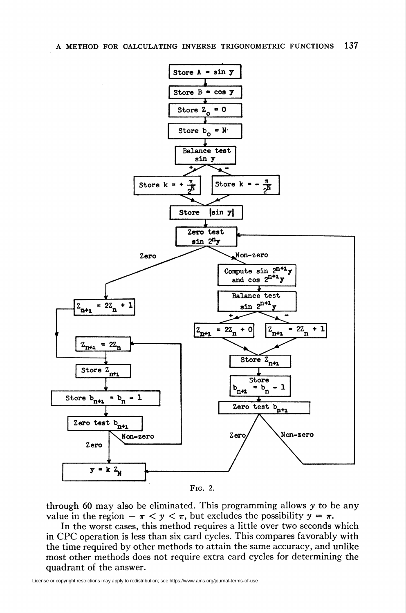



through 60 may also be eliminated. This programming allows y to be any value in the region  $-\pi < y < \pi$ , but excludes the possibility  $y = \pi$ .

In the worst cases, this method requires a little over two seconds which in CPC operation is less than six card cycles. This compares favorably with the time required by other methods to attain the same accuracy, and unlike most other methods does not require extra card cycles for determining the quadrant of the answer.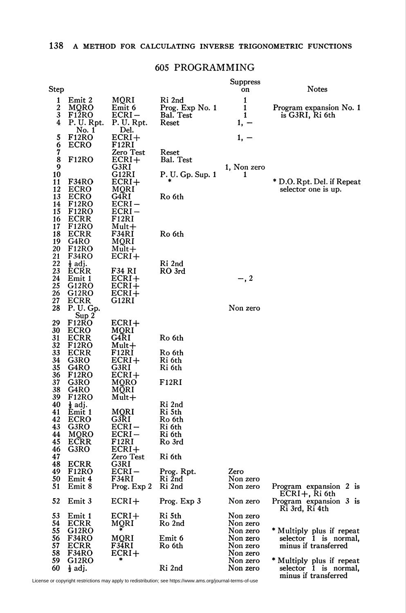## 605 PROGRAMMING

| Step                                          |                                                                                          |                                                               |                                                 | Suppress<br>on                               | Notes                                                                      |
|-----------------------------------------------|------------------------------------------------------------------------------------------|---------------------------------------------------------------|-------------------------------------------------|----------------------------------------------|----------------------------------------------------------------------------|
| 1<br>$\boldsymbol{2}$<br>3<br>4               | Emit 2<br>MQRO<br>F <sub>12</sub> RO<br>P. U. Rpt.                                       | MQRI<br>Emit 6<br>ECRI –<br>P. U. Rpt.                        | Ri 2nd<br>Prog. Exp No. 1<br>Bal. Test<br>Reset | 1<br>1<br>1<br>1, –                          | Program expansion No. 1<br>is G3RI, Ri 6th                                 |
| 5<br>$\bar{6}$<br>$\tilde{7}$<br>8<br>9<br>10 | No. 1<br>F <sub>12</sub> RO<br><b>ECRO</b><br>F <sub>12</sub> RO                         | Del.<br>ECRI+<br>F12RI<br>Zero Test<br>ECRI+<br>G3RI<br>G12RI | Reset<br>Bal. Test<br>P. U. Gp. Sup. 1          | $1, -$<br>1, Non zero<br>1                   |                                                                            |
| 11<br>12<br>13<br>14<br>15<br>16              | F34RO<br><b>ECRO</b><br><b>ECRO</b><br>F <sub>12</sub> RO<br><b>F12RO</b><br><b>ECRR</b> | $ECRI+$<br>MQRI<br>G4RI<br>ECRI-<br>ECRI-<br>F12RI            | Ro 6th                                          |                                              | * D.O. Rpt. Del. if Repeat<br>selector one is up.                          |
| 17<br>18<br>19<br>20                          | F <sub>12</sub> RO<br><b>ECRR</b><br>G4RO<br>F <sub>12</sub> RO                          | Mult+<br>F34RI<br>MQRI<br>Mult+                               | Ro 6th                                          |                                              |                                                                            |
| 21<br>22<br>23<br>24                          | F34RO<br>$\frac{1}{2}$ adj.<br><b>ECRR</b><br>Emit 1                                     | ECRI+<br>F34 RI<br>$ECRI+$                                    | Ri 2nd<br>RO 3rd                                | $-$ , 2                                      |                                                                            |
| 25<br>26<br>27<br>28                          | G12RO<br>G12RO<br>ECRR<br>P. U. Gp.                                                      | $ECRI+$<br>$ECRI+$<br>G12RI                                   |                                                 | Non zero                                     |                                                                            |
| 29<br>30<br>31<br>32                          | Sup <sub>2</sub><br>F12RO<br><b>ECRO</b><br>ECRR<br>F <sub>12</sub> RO                   | $ECRI+$<br>MORI<br>G4RI<br>$Mult+$                            | Ro 6th                                          |                                              |                                                                            |
| 33<br>34<br>35<br>36                          | <b>ECRR</b><br>G3RO<br>G4RO<br>F <sub>12</sub> RO                                        | F12RI<br>ECRI+<br>G3RI<br>ECRI+                               | Ro 6th<br>Ri 6th<br>Ri 6th                      |                                              |                                                                            |
| 37<br>38<br>39<br>40                          | G3RO<br>G4RO<br>F12RO<br>$\frac{1}{2}$ adj.                                              | MQRO<br>MQRI<br>Mult+                                         | F12RI<br>Ri 2nd                                 |                                              |                                                                            |
| 41<br>42<br>43<br>44                          | Emit 1<br><b>ECRO</b><br>G3RO<br>MQRO                                                    | MQRI<br>G3RI<br>$ECRI-$<br>ECRI –                             | Ri 5th<br>Ro 6th<br>Ri 6th<br>Ri 6th            |                                              |                                                                            |
| 45<br>46<br>47<br>48                          | ECRR<br>G3RO<br><b>ECRR</b>                                                              | F12RI<br>ECRI+<br>Zero Test<br>G3RI                           | Ro 3rd<br>Ri 6th                                |                                              |                                                                            |
| 49<br>50<br>51                                | <b>F12RO</b><br>Emit 4<br>Emit 8                                                         | ECRI-<br>F34RI<br>Prog. Exp 2                                 | Prog. Rpt.<br>Ri 2nd<br>Ri 2nd                  | Zero<br>Non zero<br>Non zero                 | Program expansion 2 is<br>$ECRI +$ , Ri 6th                                |
| 52                                            | Emit 3                                                                                   | $ECRI+$                                                       | Prog. Exp 3                                     | Non zero                                     | Program expansion 3 is<br>Ri 3rd, Ri 4th                                   |
| 53<br>54<br>55                                | Emit 1<br>ECRR<br>G12RO                                                                  | ECRI+<br>MQRI<br>MQRI                                         | Ri 5th<br>Ro 2nd<br>Emit 6                      | Non zero<br>Non zero<br>Non zero<br>Non zero | * Multiply plus if repeat                                                  |
| 56<br>57<br>58<br>59                          | F34RO<br>ECRR<br>F34RO<br>G12RO                                                          | F34RI<br>ECRI+<br>*                                           | Ro 6th                                          | Non zero<br>Non zero<br>Non zero             | selector 1 is normal,<br>minus if transferred<br>* Multiply plus if repeat |
| 60                                            | $\frac{1}{2}$ adj.                                                                       |                                                               | Ri 2nd                                          | Non zero                                     | selector 1 is normal,<br>minus if transferred                              |

License or copyright restrictions may apply to redistribution; see https://www.ams.org/journal-terms-of-use